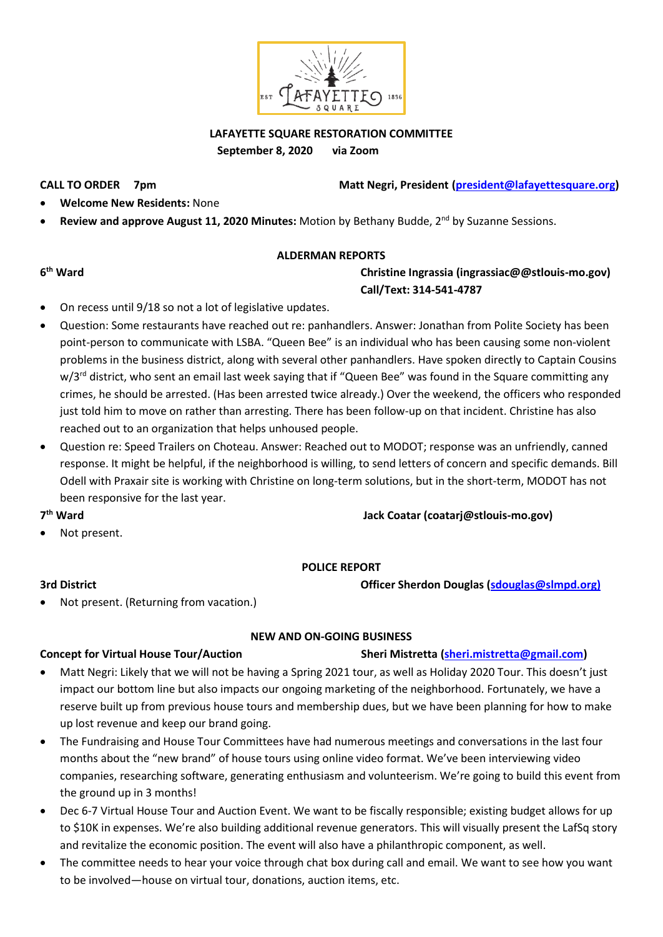

**LAFAYETTE SQUARE RESTORATION COMMITTEE September 8, 2020 via Zoom**

**CALL TO ORDER 7pm Matt Negri, President [\(president@lafayettesquare.org\)](mailto:president@lafayettesquare.org)** 

- **Welcome New Residents:** None
- Review and approve August 11, 2020 Minutes: Motion by Bethany Budde, 2<sup>nd</sup> by Suzanne Sessions.

#### **ALDERMAN REPORTS**

**6<sup>th</sup>** Ward

### **th Ward Christine Ingrassia (ingrassiac@@stlouis-mo.gov) Call/Text: 314-541-4787**

- On recess until 9/18 so not a lot of legislative updates.
- Question: Some restaurants have reached out re: panhandlers. Answer: Jonathan from Polite Society has been point-person to communicate with LSBA. "Queen Bee" is an individual who has been causing some non-violent problems in the business district, along with several other panhandlers. Have spoken directly to Captain Cousins w/3<sup>rd</sup> district, who sent an email last week saying that if "Queen Bee" was found in the Square committing any crimes, he should be arrested. (Has been arrested twice already.) Over the weekend, the officers who responded just told him to move on rather than arresting. There has been follow-up on that incident. Christine has also reached out to an organization that helps unhoused people.
- Question re: Speed Trailers on Choteau. Answer: Reached out to MODOT; response was an unfriendly, canned response. It might be helpful, if the neighborhood is willing, to send letters of concern and specific demands. Bill Odell with Praxair site is working with Christine on long-term solutions, but in the short-term, MODOT has not been responsive for the last year.

7<sup>th</sup> Ward

Not present.

#### **POLICE REPORT**

**3rd District Officer Sherdon Douglas [\(sdouglas@slmpd.org\)](mailto:sdouglas@slmpd.org)**

**th Ward Jack Coatar (coatarj@stlouis-mo.gov)**

Not present. (Returning from vacation.)

### **Concept for Virtual House Tour/Auction** Sheri Mistretta (**sheri.mistretta@gmail.com**)

• Matt Negri: Likely that we will not be having a Spring 2021 tour, as well as Holiday 2020 Tour. This doesn't just impact our bottom line but also impacts our ongoing marketing of the neighborhood. Fortunately, we have a reserve built up from previous house tours and membership dues, but we have been planning for how to make up lost revenue and keep our brand going.

**NEW AND ON-GOING BUSINESS**

- The Fundraising and House Tour Committees have had numerous meetings and conversations in the last four months about the "new brand" of house tours using online video format. We've been interviewing video companies, researching software, generating enthusiasm and volunteerism. We're going to build this event from the ground up in 3 months!
- Dec 6-7 Virtual House Tour and Auction Event. We want to be fiscally responsible; existing budget allows for up to \$10K in expenses. We're also building additional revenue generators. This will visually present the LafSq story and revitalize the economic position. The event will also have a philanthropic component, as well.
- The committee needs to hear your voice through chat box during call and email. We want to see how you want to be involved—house on virtual tour, donations, auction items, etc.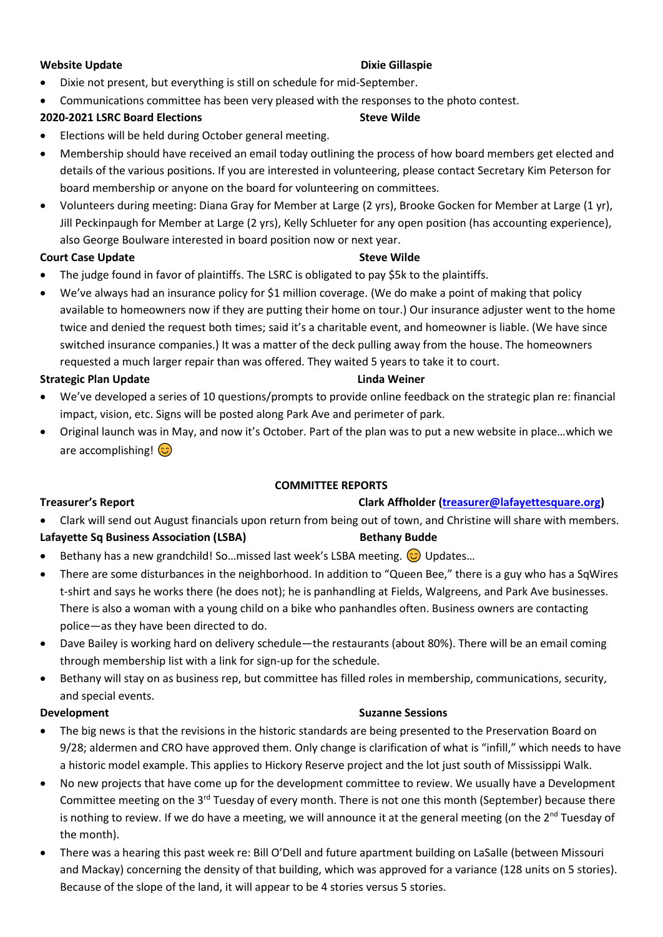#### **Website Update All and Service Structure Controller Structure Dixie Gillaspie**

- Dixie not present, but everything is still on schedule for mid-September.
- Communications committee has been very pleased with the responses to the photo contest.

### **2020-2021 LSRC Board Elections Steve Wilde**

- Elections will be held during October general meeting.
- Membership should have received an email today outlining the process of how board members get elected and details of the various positions. If you are interested in volunteering, please contact Secretary Kim Peterson for board membership or anyone on the board for volunteering on committees.
- Volunteers during meeting: Diana Gray for Member at Large (2 yrs), Brooke Gocken for Member at Large (1 yr), Jill Peckinpaugh for Member at Large (2 yrs), Kelly Schlueter for any open position (has accounting experience), also George Boulware interested in board position now or next year.

#### **Court Case Update Steve Wilde**

- The judge found in favor of plaintiffs. The LSRC is obligated to pay \$5k to the plaintiffs.
- We've always had an insurance policy for \$1 million coverage. (We do make a point of making that policy available to homeowners now if they are putting their home on tour.) Our insurance adjuster went to the home twice and denied the request both times; said it's a charitable event, and homeowner is liable. (We have since switched insurance companies.) It was a matter of the deck pulling away from the house. The homeowners requested a much larger repair than was offered. They waited 5 years to take it to court.

#### **Strategic Plan Update Linda Weiner**

- We've developed a series of 10 questions/prompts to provide online feedback on the strategic plan re: financial impact, vision, etc. Signs will be posted along Park Ave and perimeter of park.
- Original launch was in May, and now it's October. Part of the plan was to put a new website in place…which we are accomplishing!  $\circled{c}$

#### **COMMITTEE REPORTS**

### **Treasurer's Report Clark Affholder Clark Affholder [\(treasurer@lafayettesquare.org\)](mailto:treasurer@lafayettesquare.org)**

• Clark will send out August financials upon return from being out of town, and Christine will share with members.

### Lafayette Sq Business Association (LSBA) Bethany Budde

- Bethany has a new grandchild! So...missed last week's LSBA meeting.  $\odot$  Updates...
- There are some disturbances in the neighborhood. In addition to "Queen Bee," there is a guy who has a SqWires t-shirt and says he works there (he does not); he is panhandling at Fields, Walgreens, and Park Ave businesses. There is also a woman with a young child on a bike who panhandles often. Business owners are contacting police—as they have been directed to do.
- Dave Bailey is working hard on delivery schedule—the restaurants (about 80%). There will be an email coming through membership list with a link for sign-up for the schedule.
- Bethany will stay on as business rep, but committee has filled roles in membership, communications, security, and special events.

#### **Development Suzanne Sessions Suzanne Sessions**

- The big news is that the revisions in the historic standards are being presented to the Preservation Board on 9/28; aldermen and CRO have approved them. Only change is clarification of what is "infill," which needs to have a historic model example. This applies to Hickory Reserve project and the lot just south of Mississippi Walk.
- No new projects that have come up for the development committee to review. We usually have a Development Committee meeting on the 3<sup>rd</sup> Tuesday of every month. There is not one this month (September) because there is nothing to review. If we do have a meeting, we will announce it at the general meeting (on the 2<sup>nd</sup> Tuesday of the month).
- There was a hearing this past week re: Bill O'Dell and future apartment building on LaSalle (between Missouri and Mackay) concerning the density of that building, which was approved for a variance (128 units on 5 stories). Because of the slope of the land, it will appear to be 4 stories versus 5 stories.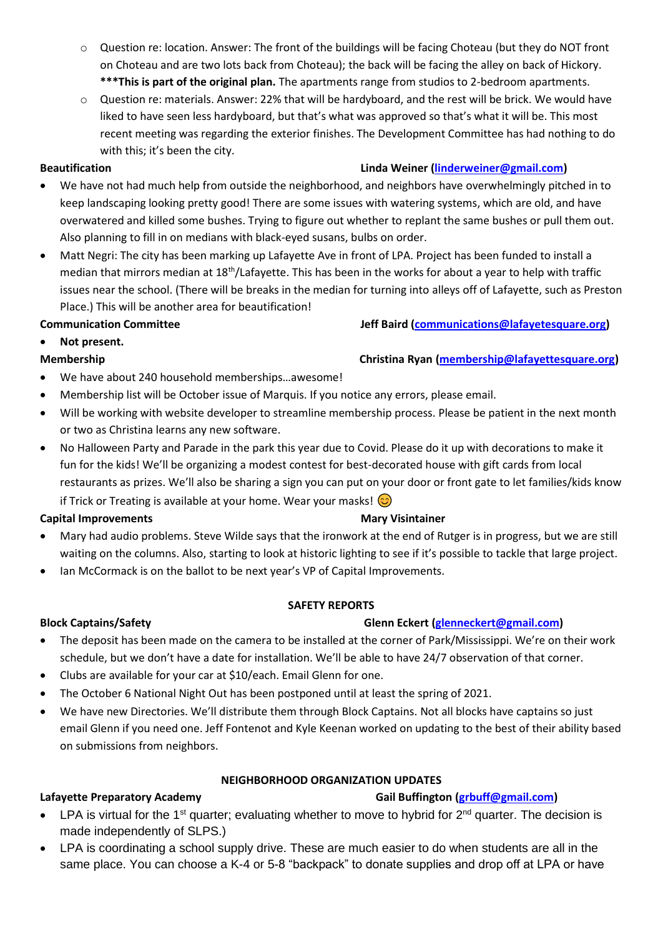- o Question re: location. Answer: The front of the buildings will be facing Choteau (but they do NOT front on Choteau and are two lots back from Choteau); the back will be facing the alley on back of Hickory. **\*\*\*This is part of the original plan.** The apartments range from studios to 2-bedroom apartments.
- o Question re: materials. Answer: 22% that will be hardyboard, and the rest will be brick. We would have liked to have seen less hardyboard, but that's what was approved so that's what it will be. This most recent meeting was regarding the exterior finishes. The Development Committee has had nothing to do with this; it's been the city.

- We have not had much help from outside the neighborhood, and neighbors have overwhelmingly pitched in to keep landscaping looking pretty good! There are some issues with watering systems, which are old, and have overwatered and killed some bushes. Trying to figure out whether to replant the same bushes or pull them out. Also planning to fill in on medians with black-eyed susans, bulbs on order.
- Matt Negri: The city has been marking up Lafayette Ave in front of LPA. Project has been funded to install a median that mirrors median at 18<sup>th</sup>/Lafayette. This has been in the works for about a year to help with traffic issues near the school. (There will be breaks in the median for turning into alleys off of Lafayette, such as Preston Place.) This will be another area for beautification!

## **Communication Committee Jeff Baird [\(communications@lafayetesquare.org\)](mailto:communications@lafayetesquare.org)**

• **Not present.**

## **Membership Christina Ryan [\(membership@lafayettesquare.org\)](mailto:membership@lafayettesquare.org)**

- We have about 240 household memberships...awesome!
- Membership list will be October issue of Marquis. If you notice any errors, please email.
- Will be working with website developer to streamline membership process. Please be patient in the next month or two as Christina learns any new software.
- No Halloween Party and Parade in the park this year due to Covid. Please do it up with decorations to make it fun for the kids! We'll be organizing a modest contest for best-decorated house with gift cards from local restaurants as prizes. We'll also be sharing a sign you can put on your door or front gate to let families/kids know if Trick or Treating is available at your home. Wear your masks!  $\odot$

### **Capital Improvements Capital Improvements** Mary Visintainer

- Mary had audio problems. Steve Wilde says that the ironwork at the end of Rutger is in progress, but we are still waiting on the columns. Also, starting to look at historic lighting to see if it's possible to tackle that large project.
- Ian McCormack is on the ballot to be next year's VP of Capital Improvements.

### **SAFETY REPORTS**

## **Block Captains/Safety Glenn Eckert [\(glenneckert@gmail.com\)](mailto:glenneckert@gmail.com)**

- The deposit has been made on the camera to be installed at the corner of Park/Mississippi. We're on their work schedule, but we don't have a date for installation. We'll be able to have 24/7 observation of that corner.
- Clubs are available for your car at \$10/each. Email Glenn for one.
- The October 6 National Night Out has been postponed until at least the spring of 2021.
- We have new Directories. We'll distribute them through Block Captains. Not all blocks have captains so just email Glenn if you need one. Jeff Fontenot and Kyle Keenan worked on updating to the best of their ability based on submissions from neighbors.

### **NEIGHBORHOOD ORGANIZATION UPDATES**

# **Cail Buffington [\(grbuff@gmail.com\)](mailto:grbuff@gmail.com) Lafayette Preparatory Academy Gail Buffington (grbuff@gmail.com)**

- LPA is virtual for the 1<sup>st</sup> quarter; evaluating whether to move to hybrid for  $2^{nd}$  quarter. The decision is made independently of SLPS.)
- LPA is coordinating a school supply drive. These are much easier to do when students are all in the same place. You can choose a K-4 or 5-8 "backpack" to donate supplies and drop off at LPA or have

## **Beautification Beautification 1997 Linda Weiner** (*linderweiner@gmail.com*)